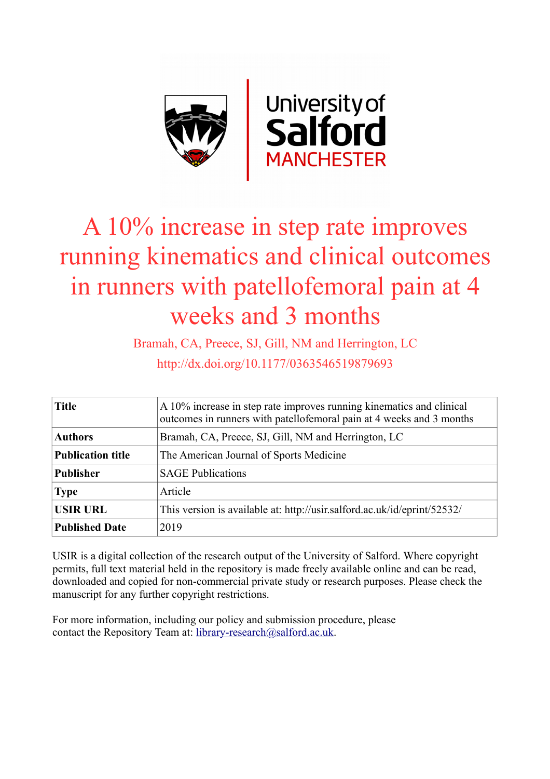

# A 10% increase in step rate improves running kinematics and clinical outcomes in runners with patellofemoral pain at 4 weeks and 3 months

Bramah, CA, Preece, SJ, Gill, NM and Herrington, LC http://dx.doi.org/10.1177/0363546519879693

| <b>Title</b>             | A 10% increase in step rate improves running kinematics and clinical<br>outcomes in runners with patellofemoral pain at 4 weeks and 3 months |
|--------------------------|----------------------------------------------------------------------------------------------------------------------------------------------|
| <b>Authors</b>           | Bramah, CA, Preece, SJ, Gill, NM and Herrington, LC                                                                                          |
| <b>Publication title</b> | The American Journal of Sports Medicine                                                                                                      |
| <b>Publisher</b>         | <b>SAGE Publications</b>                                                                                                                     |
| <b>Type</b>              | Article                                                                                                                                      |
| <b>USIR URL</b>          | This version is available at: http://usir.salford.ac.uk/id/eprint/52532/                                                                     |
| <b>Published Date</b>    | 2019                                                                                                                                         |

USIR is a digital collection of the research output of the University of Salford. Where copyright permits, full text material held in the repository is made freely available online and can be read, downloaded and copied for non-commercial private study or research purposes. Please check the manuscript for any further copyright restrictions.

For more information, including our policy and submission procedure, please contact the Repository Team at: [library-research@salford.ac.uk.](mailto:library-research@salford.ac.uk)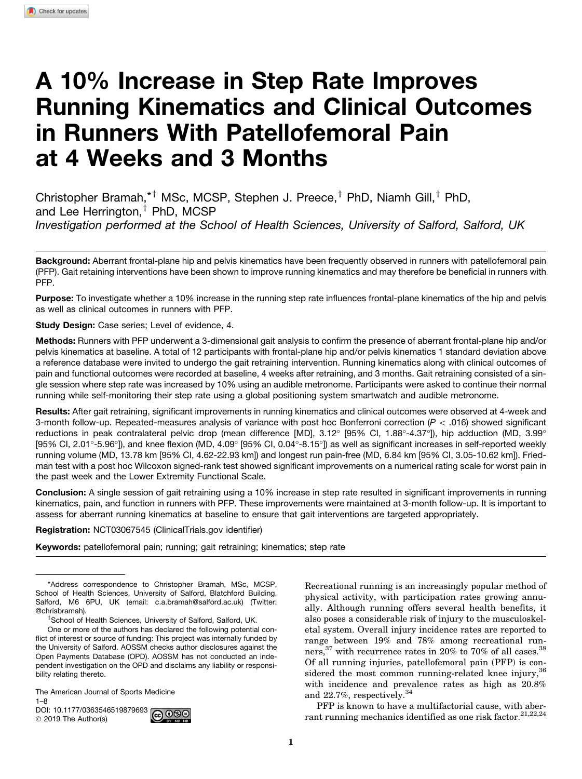# A 10% Increase in Step Rate Improves Running Kinematics and Clinical Outcomes in Runners With Patellofemoral Pain at 4 Weeks and 3 Months

Christopher Bramah,<sup>\*†</sup> MSc, MCSP, Stephen J. Preece,<sup>†</sup> PhD, Niamh Gill,<sup>†</sup> PhD, and Lee Herrington.<sup>†</sup> PhD, MCSP *Investigation performed at the School of Health Sciences, University of Salford, Salford, UK*

Background: Aberrant frontal-plane hip and pelvis kinematics have been frequently observed in runners with patellofemoral pain (PFP). Gait retaining interventions have been shown to improve running kinematics and may therefore be beneficial in runners with PFP.

Purpose: To investigate whether a 10% increase in the running step rate influences frontal-plane kinematics of the hip and pelvis as well as clinical outcomes in runners with PFP.

Study Design: Case series; Level of evidence, 4.

Methods: Runners with PFP underwent a 3-dimensional gait analysis to confirm the presence of aberrant frontal-plane hip and/or pelvis kinematics at baseline. A total of 12 participants with frontal-plane hip and/or pelvis kinematics 1 standard deviation above a reference database were invited to undergo the gait retraining intervention. Running kinematics along with clinical outcomes of pain and functional outcomes were recorded at baseline, 4 weeks after retraining, and 3 months. Gait retraining consisted of a single session where step rate was increased by 10% using an audible metronome. Participants were asked to continue their normal running while self-monitoring their step rate using a global positioning system smartwatch and audible metronome.

Results: After gait retraining, significant improvements in running kinematics and clinical outcomes were observed at 4-week and 3-month follow-up. Repeated-measures analysis of variance with post hoc Bonferroni correction (*P* \ .016) showed significant reductions in peak contralateral pelvic drop (mean difference [MD], 3.12° [95% CI, 1.88°-4.37°]), hip adduction (MD, 3.99° [95% Cl, 2.01°-5.96°]), and knee flexion (MD, 4.09° [95% Cl, 0.04°-8.15°]) as well as significant increases in self-reported weekly running volume (MD, 13.78 km [95% CI, 4.62-22.93 km]) and longest run pain-free (MD, 6.84 km [95% CI, 3.05-10.62 km]). Friedman test with a post hoc Wilcoxon signed-rank test showed significant improvements on a numerical rating scale for worst pain in the past week and the Lower Extremity Functional Scale.

Conclusion: A single session of gait retraining using a 10% increase in step rate resulted in significant improvements in running kinematics, pain, and function in runners with PFP. These improvements were maintained at 3-month follow-up. It is important to assess for aberrant running kinematics at baseline to ensure that gait interventions are targeted appropriately.

Registration: NCT03067545 (ClinicalTrials.gov identifier)

Keywords: patellofemoral pain; running; gait retraining; kinematics; step rate

The American Journal of Sports Medicine 1–8 DOI: [10.1177/0363546519879693](https://doi.org/10.1177/0363546519879693) 2019 The Author(s)

physical activity, with participation rates growing annually. Although running offers several health benefits, it also poses a considerable risk of injury to the musculoskeletal system. Overall injury incidence rates are reported to range between 19% and 78% among recreational runners,<sup>37</sup> with recurrence rates in 20% to 70% of all cases.<sup>38</sup> Of all running injuries, patellofemoral pain (PFP) is considered the most common running-related knee injury, 36 with incidence and prevalence rates as high as 20.8% and 22.7%, respectively.<sup>34</sup>

Recreational running is an increasingly popular method of

PFP is known to have a multifactorial cause, with aberrant running mechanics identified as one risk factor.<sup>21,22,24</sup>

<sup>\*</sup>Address correspondence to Christopher Bramah, MSc, MCSP, School of Health Sciences, University of Salford, Blatchford Building, Salford, M6 6PU, UK (email: c.a.bramah@salford.ac.uk) (Twitter: @chrishramah)

<sup>&</sup>lt;sup>†</sup>School of Health Sciences, University of Salford, Salford, UK.

One or more of the authors has declared the following potential conflict of interest or source of funding: This project was internally funded by the University of Salford. AOSSM checks author disclosures against the Open Payments Database (OPD). AOSSM has not conducted an independent investigation on the OPD and disclaims any liability or responsibility relating thereto.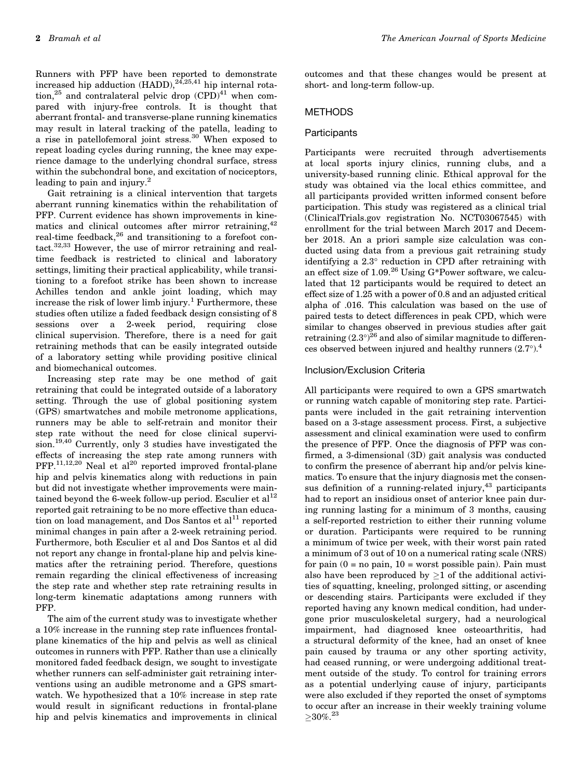Runners with PFP have been reported to demonstrate increased hip adduction  $(HADD)$ ,  $^{24,25,41}$  hip internal rotation,<sup>25</sup> and contralateral pelvic drop  $(CPD)^{41}$  when compared with injury-free controls. It is thought that aberrant frontal- and transverse-plane running kinematics may result in lateral tracking of the patella, leading to a rise in patellofemoral joint stress.<sup>30</sup> When exposed to repeat loading cycles during running, the knee may experience damage to the underlying chondral surface, stress within the subchondral bone, and excitation of nociceptors, leading to pain and injury.<sup>2</sup>

Gait retraining is a clinical intervention that targets aberrant running kinematics within the rehabilitation of PFP. Current evidence has shown improvements in kinematics and clinical outcomes after mirror retraining,<sup>42</sup> real-time feedback,<sup>26</sup> and transitioning to a forefoot contact.32,33 However, the use of mirror retraining and realtime feedback is restricted to clinical and laboratory settings, limiting their practical applicability, while transitioning to a forefoot strike has been shown to increase Achilles tendon and ankle joint loading, which may increase the risk of lower limb injury.<sup>1</sup> Furthermore, these studies often utilize a faded feedback design consisting of 8 sessions over a 2-week period, requiring close clinical supervision. Therefore, there is a need for gait retraining methods that can be easily integrated outside of a laboratory setting while providing positive clinical and biomechanical outcomes.

Increasing step rate may be one method of gait retraining that could be integrated outside of a laboratory setting. Through the use of global positioning system (GPS) smartwatches and mobile metronome applications, runners may be able to self-retrain and monitor their step rate without the need for close clinical supervi $sion.<sup>19,40</sup>$  Currently, only 3 studies have investigated the effects of increasing the step rate among runners with  $PFP<sub>.11,12,20</sub>$  Neal et al<sup>20</sup> reported improved frontal-plane hip and pelvis kinematics along with reductions in pain but did not investigate whether improvements were maintained beyond the 6-week follow-up period. Esculier et  $al<sup>12</sup>$ reported gait retraining to be no more effective than education on load management, and Dos Santos et  $al<sup>11</sup>$  reported minimal changes in pain after a 2-week retraining period. Furthermore, both Esculier et al and Dos Santos et al did not report any change in frontal-plane hip and pelvis kinematics after the retraining period. Therefore, questions remain regarding the clinical effectiveness of increasing the step rate and whether step rate retraining results in long-term kinematic adaptations among runners with PFP.

The aim of the current study was to investigate whether a 10% increase in the running step rate influences frontalplane kinematics of the hip and pelvis as well as clinical outcomes in runners with PFP. Rather than use a clinically monitored faded feedback design, we sought to investigate whether runners can self-administer gait retraining interventions using an audible metronome and a GPS smartwatch. We hypothesized that a 10% increase in step rate would result in significant reductions in frontal-plane hip and pelvis kinematics and improvements in clinical outcomes and that these changes would be present at short- and long-term follow-up.

# **METHODS**

# **Participants**

Participants were recruited through advertisements at local sports injury clinics, running clubs, and a university-based running clinic. Ethical approval for the study was obtained via the local ethics committee, and all participants provided written informed consent before participation. This study was registered as a clinical trial (ClinicalTrials.gov registration No. NCT03067545) with enrollment for the trial between March 2017 and December 2018. An a priori sample size calculation was conducted using data from a previous gait retraining study identifying a 2.3° reduction in CPD after retraining with an effect size of  $1.09<sup>26</sup>$  Using G\*Power software, we calculated that 12 participants would be required to detect an effect size of 1.25 with a power of 0.8 and an adjusted critical alpha of .016. This calculation was based on the use of paired tests to detect differences in peak CPD, which were similar to changes observed in previous studies after gait retraining  $(2.3^{\circ})^{26}$  and also of similar magnitude to differences observed between injured and healthy runners  $(2.7^{\circ})$ .<sup>4</sup>

# Inclusion/Exclusion Criteria

All participants were required to own a GPS smartwatch or running watch capable of monitoring step rate. Participants were included in the gait retraining intervention based on a 3-stage assessment process. First, a subjective assessment and clinical examination were used to confirm the presence of PFP. Once the diagnosis of PFP was confirmed, a 3-dimensional (3D) gait analysis was conducted to confirm the presence of aberrant hip and/or pelvis kinematics. To ensure that the injury diagnosis met the consensus definition of a running-related injury, $43$  participants had to report an insidious onset of anterior knee pain during running lasting for a minimum of 3 months, causing a self-reported restriction to either their running volume or duration. Participants were required to be running a minimum of twice per week, with their worst pain rated a minimum of 3 out of 10 on a numerical rating scale (NRS) for pain  $(0 = no \,\text{pain}, 10 = \text{worst possible pain})$ . Pain must also have been reproduced by  $\geq 1$  of the additional activities of squatting, kneeling, prolonged sitting, or ascending or descending stairs. Participants were excluded if they reported having any known medical condition, had undergone prior musculoskeletal surgery, had a neurological impairment, had diagnosed knee osteoarthritis, had a structural deformity of the knee, had an onset of knee pain caused by trauma or any other sporting activity, had ceased running, or were undergoing additional treatment outside of the study. To control for training errors as a potential underlying cause of injury, participants were also excluded if they reported the onset of symptoms to occur after an increase in their weekly training volume  ${\ge}30\%$ .<sup>23</sup>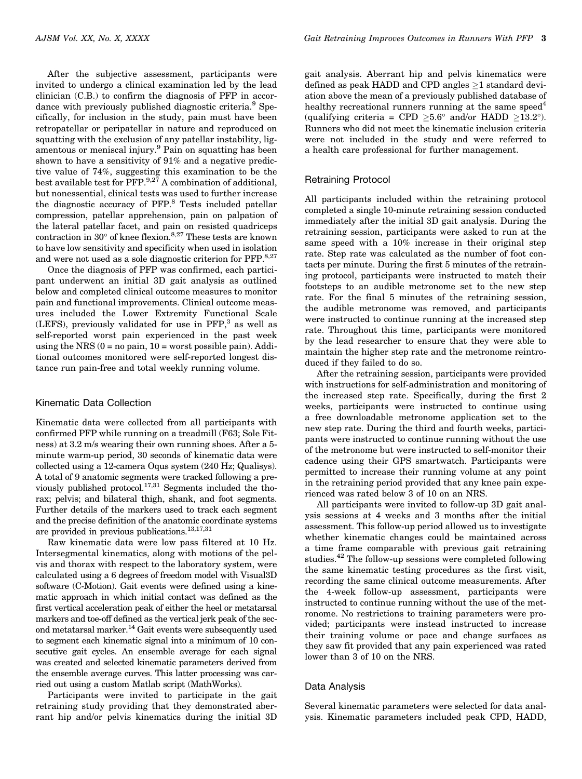After the subjective assessment, participants were invited to undergo a clinical examination led by the lead clinician (C.B.) to confirm the diagnosis of PFP in accordance with previously published diagnostic criteria.<sup>9</sup> Specifically, for inclusion in the study, pain must have been retropatellar or peripatellar in nature and reproduced on squatting with the exclusion of any patellar instability, ligamentous or meniscal injury.<sup>9</sup> Pain on squatting has been shown to have a sensitivity of 91% and a negative predictive value of 74%, suggesting this examination to be the best available test for PFP.<sup>9,27</sup> A combination of additional, but nonessential, clinical tests was used to further increase the diagnostic accuracy of PFP.8 Tests included patellar compression, patellar apprehension, pain on palpation of the lateral patellar facet, and pain on resisted quadriceps contraction in 30 $^{\circ}$  of knee flexion.<sup>8,27</sup> These tests are known to have low sensitivity and specificity when used in isolation and were not used as a sole diagnostic criterion for PFP.<sup>8,27</sup>

Once the diagnosis of PFP was confirmed, each participant underwent an initial 3D gait analysis as outlined below and completed clinical outcome measures to monitor pain and functional improvements. Clinical outcome measures included the Lower Extremity Functional Scale  $(LEFS)$ , previously validated for use in PFP,<sup>3</sup> as well as self-reported worst pain experienced in the past week using the NRS  $(0 = no pain, 10 = worst possible pain)$ . Additional outcomes monitored were self-reported longest distance run pain-free and total weekly running volume.

# Kinematic Data Collection

Kinematic data were collected from all participants with confirmed PFP while running on a treadmill (F63; Sole Fitness) at 3.2 m/s wearing their own running shoes. After a 5 minute warm-up period, 30 seconds of kinematic data were collected using a 12-camera Oqus system (240 Hz; Qualisys). A total of 9 anatomic segments were tracked following a previously published protocol.17,31 Segments included the thorax; pelvis; and bilateral thigh, shank, and foot segments. Further details of the markers used to track each segment and the precise definition of the anatomic coordinate systems are provided in previous publications.13,17,31

Raw kinematic data were low pass filtered at 10 Hz. Intersegmental kinematics, along with motions of the pelvis and thorax with respect to the laboratory system, were calculated using a 6 degrees of freedom model with Visual3D software (C-Motion). Gait events were defined using a kinematic approach in which initial contact was defined as the first vertical acceleration peak of either the heel or metatarsal markers and toe-off defined as the vertical jerk peak of the second metatarsal marker.14 Gait events were subsequently used to segment each kinematic signal into a minimum of 10 consecutive gait cycles. An ensemble average for each signal was created and selected kinematic parameters derived from the ensemble average curves. This latter processing was carried out using a custom Matlab script (MathWorks).

Participants were invited to participate in the gait retraining study providing that they demonstrated aberrant hip and/or pelvis kinematics during the initial 3D gait analysis. Aberrant hip and pelvis kinematics were defined as peak HADD and CPD angles  $\geq$ 1 standard deviation above the mean of a previously published database of healthy recreational runners running at the same speed<sup>4</sup> (qualifying criteria = CPD  $\geq 5.6^{\circ}$  and/or HADD  $\geq 13.2^{\circ}$ ). Runners who did not meet the kinematic inclusion criteria were not included in the study and were referred to a health care professional for further management.

#### Retraining Protocol

All participants included within the retraining protocol completed a single 10-minute retraining session conducted immediately after the initial 3D gait analysis. During the retraining session, participants were asked to run at the same speed with a 10% increase in their original step rate. Step rate was calculated as the number of foot contacts per minute. During the first 5 minutes of the retraining protocol, participants were instructed to match their footsteps to an audible metronome set to the new step rate. For the final 5 minutes of the retraining session, the audible metronome was removed, and participants were instructed to continue running at the increased step rate. Throughout this time, participants were monitored by the lead researcher to ensure that they were able to maintain the higher step rate and the metronome reintroduced if they failed to do so.

After the retraining session, participants were provided with instructions for self-administration and monitoring of the increased step rate. Specifically, during the first 2 weeks, participants were instructed to continue using a free downloadable metronome application set to the new step rate. During the third and fourth weeks, participants were instructed to continue running without the use of the metronome but were instructed to self-monitor their cadence using their GPS smartwatch. Participants were permitted to increase their running volume at any point in the retraining period provided that any knee pain experienced was rated below 3 of 10 on an NRS.

All participants were invited to follow-up 3D gait analysis sessions at 4 weeks and 3 months after the initial assessment. This follow-up period allowed us to investigate whether kinematic changes could be maintained across a time frame comparable with previous gait retraining studies.<sup>42</sup> The follow-up sessions were completed following the same kinematic testing procedures as the first visit, recording the same clinical outcome measurements. After the 4-week follow-up assessment, participants were instructed to continue running without the use of the metronome. No restrictions to training parameters were provided; participants were instead instructed to increase their training volume or pace and change surfaces as they saw fit provided that any pain experienced was rated lower than 3 of 10 on the NRS.

### Data Analysis

Several kinematic parameters were selected for data analysis. Kinematic parameters included peak CPD, HADD,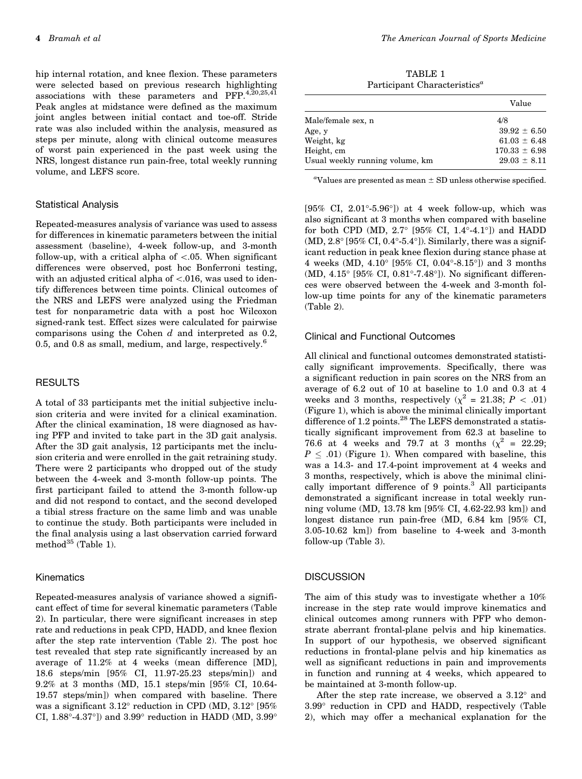hip internal rotation, and knee flexion. These parameters were selected based on previous research highlighting associations with these parameters and PFP. $4,20,25,4$ Peak angles at midstance were defined as the maximum joint angles between initial contact and toe-off. Stride rate was also included within the analysis, measured as steps per minute, along with clinical outcome measures of worst pain experienced in the past week using the NRS, longest distance run pain-free, total weekly running volume, and LEFS score.

#### Statistical Analysis

Repeated-measures analysis of variance was used to assess for differences in kinematic parameters between the initial assessment (baseline), 4-week follow-up, and 3-month follow-up, with a critical alpha of  $\lt$ .05. When significant differences were observed, post hoc Bonferroni testing, with an adjusted critical alpha of  $\lt$ .016, was used to identify differences between time points. Clinical outcomes of the NRS and LEFS were analyzed using the Friedman test for nonparametric data with a post hoc Wilcoxon signed-rank test. Effect sizes were calculated for pairwise comparisons using the Cohen  $d$  and interpreted as 0.2, 0.5, and 0.8 as small, medium, and large, respectively.<sup>6</sup>

# **RESULTS**

A total of 33 participants met the initial subjective inclusion criteria and were invited for a clinical examination. After the clinical examination, 18 were diagnosed as having PFP and invited to take part in the 3D gait analysis. After the 3D gait analysis, 12 participants met the inclusion criteria and were enrolled in the gait retraining study. There were 2 participants who dropped out of the study between the 4-week and 3-month follow-up points. The first participant failed to attend the 3-month follow-up and did not respond to contact, and the second developed a tibial stress fracture on the same limb and was unable to continue the study. Both participants were included in the final analysis using a last observation carried forward method $^{35}$  (Table 1).

# Kinematics

Repeated-measures analysis of variance showed a significant effect of time for several kinematic parameters (Table 2). In particular, there were significant increases in step rate and reductions in peak CPD, HADD, and knee flexion after the step rate intervention (Table 2). The post hoc test revealed that step rate significantly increased by an average of 11.2% at 4 weeks (mean difference [MD], 18.6 steps/min [95% CI, 11.97-25.23 steps/min]) and 9.2% at 3 months (MD, 15.1 steps/min [95% CI, 10.64- 19.57 steps/min]) when compared with baseline. There was a significant  $3.12^{\circ}$  reduction in CPD (MD,  $3.12^{\circ}$  [95% CI,  $1.88^{\circ}$ - $4.37^{\circ}$ ]) and  $3.99^{\circ}$  reduction in HADD (MD,  $3.99^{\circ}$ 

TABLE 1 Participant Characteristics<sup>a</sup>

|                                 | Value             |
|---------------------------------|-------------------|
| Male/female sex, n              | 4/8               |
| Age, y                          | $39.92 \pm 6.50$  |
| Weight, kg                      | $61.03 \pm 6.48$  |
| Height, cm                      | $170.33 \pm 6.98$ |
| Usual weekly running volume, km | $29.03 \pm 8.11$  |

"Values are presented as mean  $\pm$  SD unless otherwise specified.

 $[95\% \, \text{CI}, \, 2.01\degree 5.96\degree]$  at 4 week follow-up, which was also significant at 3 months when compared with baseline for both CPD (MD,  $2.7^{\circ}$  [95% CI,  $1.4^{\circ}$ -4.1 $^{\circ}$ ]) and HADD  $(MD, 2.8^{\circ}$  [95% CI, 0.4 $^{\circ}$ -5.4 $^{\circ}$ ]). Similarly, there was a significant reduction in peak knee flexion during stance phase at 4 weeks (MD,  $4.10^{\circ}$  [95% CI,  $0.04^{\circ}$ -8.15 $^{\circ}$ ]) and 3 months  $(MD, 4.15^{\circ}$  [95% CI, 0.81°-7.48°]). No significant differences were observed between the 4-week and 3-month follow-up time points for any of the kinematic parameters (Table 2).

#### Clinical and Functional Outcomes

All clinical and functional outcomes demonstrated statistically significant improvements. Specifically, there was a significant reduction in pain scores on the NRS from an average of 6.2 out of 10 at baseline to 1.0 and 0.3 at 4 weeks and 3 months, respectively  $(\chi^2 = 21.38; P < .01)$ (Figure 1), which is above the minimal clinically important difference of 1.2 points.<sup>28</sup> The LEFS demonstrated a statistically significant improvement from 62.3 at baseline to 76.6 at 4 weeks and 79.7 at 3 months  $(\chi^2 = 22.29)$ ;  $P < .01$ ) (Figure 1). When compared with baseline, this was a 14.3- and 17.4-point improvement at 4 weeks and 3 months, respectively, which is above the minimal clinically important difference of  $9$  points.<sup>3</sup> All participants demonstrated a significant increase in total weekly running volume (MD, 13.78 km [95% CI, 4.62-22.93 km]) and longest distance run pain-free (MD, 6.84 km [95% CI, 3.05-10.62 km]) from baseline to 4-week and 3-month follow-up (Table 3).

# **DISCUSSION**

The aim of this study was to investigate whether a 10% increase in the step rate would improve kinematics and clinical outcomes among runners with PFP who demonstrate aberrant frontal-plane pelvis and hip kinematics. In support of our hypothesis, we observed significant reductions in frontal-plane pelvis and hip kinematics as well as significant reductions in pain and improvements in function and running at 4 weeks, which appeared to be maintained at 3-month follow-up.

After the step rate increase, we observed a  $3.12^{\circ}$  and 3.99° reduction in CPD and HADD, respectively (Table 2), which may offer a mechanical explanation for the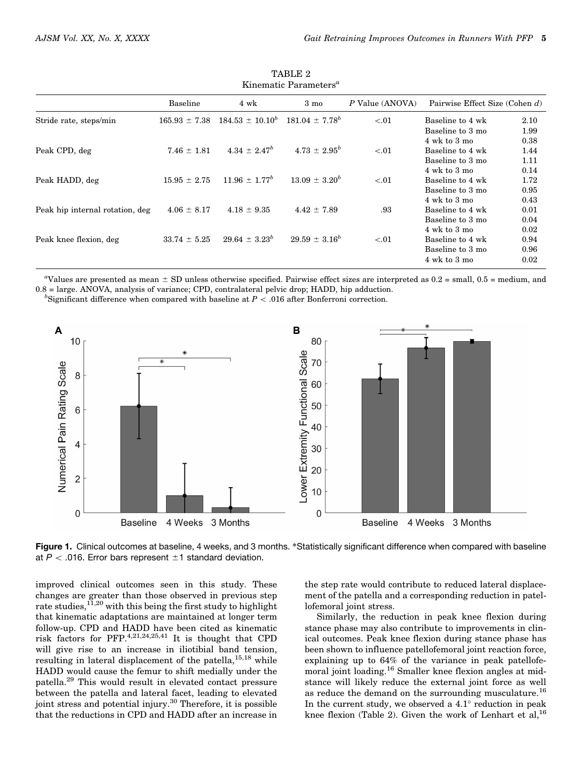|                                 | <b>Baseline</b>   | 4 wk                 | $3 \text{ mo}$      | P Value (ANOVA) | Pairwise Effect Size (Cohen d)   |      |  |
|---------------------------------|-------------------|----------------------|---------------------|-----------------|----------------------------------|------|--|
| Stride rate, steps/min          | $165.93 \pm 7.38$ | $184.53 \pm 10.10^b$ | $181.04 \pm 7.78^b$ | < 0.01          | Baseline to 4 wk                 | 2.10 |  |
|                                 |                   |                      |                     |                 | Baseline to 3 mo                 | 1.99 |  |
|                                 |                   |                      |                     |                 | $4 \text{ wk}$ to $3 \text{ mo}$ | 0.38 |  |
| Peak CPD, deg                   | $7.46 \pm 1.81$   | $4.34 \pm 2.47^b$    | $4.73 \pm 2.95^b$   | < 0.01          | Baseline to 4 wk                 | 1.44 |  |
|                                 |                   |                      |                     |                 | Baseline to 3 mo                 | 1.11 |  |
|                                 |                   |                      |                     |                 | $4 \text{ wk}$ to $3 \text{ mo}$ | 0.14 |  |
| Peak HADD, deg                  | $15.95 \pm 2.75$  | $11.96 \pm 1.77^b$   | $13.09 \pm 3.20^b$  | < 0.01          | Baseline to 4 wk                 | 1.72 |  |
|                                 |                   |                      |                     |                 | Baseline to 3 mo                 | 0.95 |  |
|                                 |                   |                      |                     |                 | $4 \text{ wk}$ to $3 \text{ mo}$ | 0.43 |  |
| Peak hip internal rotation, deg | $4.06 \pm 8.17$   | $4.18 \pm 9.35$      | $4.42 \pm 7.89$     | .93             | Baseline to 4 wk                 | 0.01 |  |
|                                 |                   |                      |                     |                 | Baseline to 3 mo                 | 0.04 |  |
|                                 |                   |                      |                     |                 | $4 \text{ wk}$ to $3 \text{ mo}$ | 0.02 |  |
| Peak knee flexion, deg          | $33.74 \pm 5.25$  | $29.64 \pm 3.23^b$   | $29.59 \pm 3.16^b$  | < 0.01          | Baseline to 4 wk                 | 0.94 |  |
|                                 |                   |                      |                     |                 | Baseline to 3 mo                 | 0.96 |  |
|                                 |                   |                      |                     |                 | 4 wk to 3 mo                     | 0.02 |  |

| TABLE 2                           |  |  |  |  |
|-----------------------------------|--|--|--|--|
| Kinematic Parameters <sup>a</sup> |  |  |  |  |

"Values are presented as mean  $\pm$  SD unless otherwise specified. Pairwise effect sizes are interpreted as 0.2 = small, 0.5 = medium, and 0.8 = large. ANOVA, analysis of variance; CPD, contralateral pelvic drop; HADD, hip adduction.

<sup>b</sup>Significant difference when compared with baseline at  $P < .016$  after Bonferroni correction.



Figure 1. Clinical outcomes at baseline, 4 weeks, and 3 months. \*Statistically significant difference when compared with baseline at  $P < .016$ . Error bars represent  $\pm 1$  standard deviation.

improved clinical outcomes seen in this study. These changes are greater than those observed in previous step rate studies, $11,20$  with this being the first study to highlight that kinematic adaptations are maintained at longer term follow-up. CPD and HADD have been cited as kinematic risk factors for PFP.4,21,24,25,41 It is thought that CPD will give rise to an increase in iliotibial band tension, resulting in lateral displacement of the patella, $15,18$  while HADD would cause the femur to shift medially under the patella.29 This would result in elevated contact pressure between the patella and lateral facet, leading to elevated joint stress and potential injury. $30$  Therefore, it is possible that the reductions in CPD and HADD after an increase in

the step rate would contribute to reduced lateral displacement of the patella and a corresponding reduction in patellofemoral joint stress.

Similarly, the reduction in peak knee flexion during stance phase may also contribute to improvements in clinical outcomes. Peak knee flexion during stance phase has been shown to influence patellofemoral joint reaction force, explaining up to 64% of the variance in peak patellofemoral joint loading.<sup>16</sup> Smaller knee flexion angles at midstance will likely reduce the external joint force as well as reduce the demand on the surrounding musculature.<sup>16</sup> In the current study, we observed a  $4.1^{\circ}$  reduction in peak knee flexion (Table 2). Given the work of Lenhart et al,  $^{16}$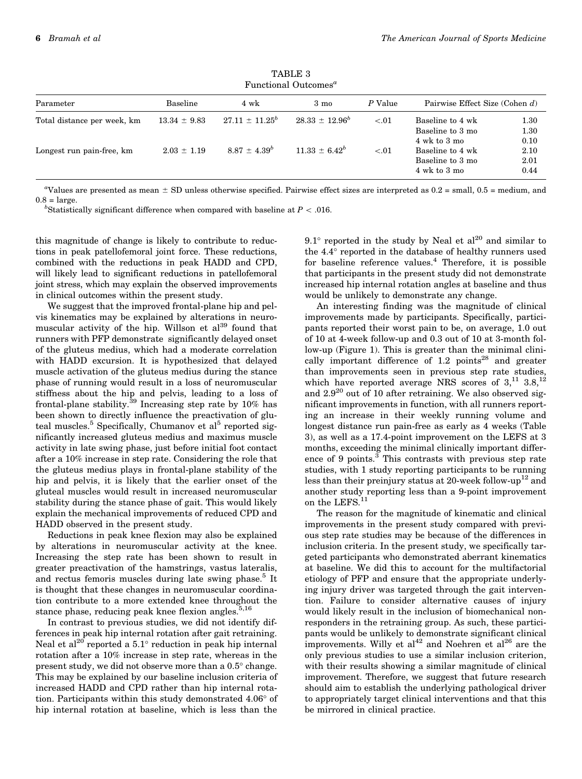| r unctional Outcomes        |                  |                     |                     |         |                                                      |                      |  |
|-----------------------------|------------------|---------------------|---------------------|---------|------------------------------------------------------|----------------------|--|
| Parameter                   | Baseline         | 4 wk                | $3 \text{ mo}$      | P Value | Pairwise Effect Size (Cohen d)                       |                      |  |
| Total distance per week, km | $13.34 \pm 9.83$ | $27.11 \pm 11.25^b$ | $28.33 \pm 12.96^b$ | < 0.01  | Baseline to 4 wk<br>Baseline to 3 mo<br>4 wk to 3 mo | 1.30<br>1.30<br>0.10 |  |
| Longest run pain-free, km   | $2.03 \pm 1.19$  | $8.87 \pm 4.39^{b}$ | $11.33 \pm 6.42^b$  | < 0.01  | Baseline to 4 wk<br>Baseline to 3 mo<br>4 wk to 3 mo | 2.10<br>2.01<br>0.44 |  |

TABLE 3  $\Gamma$ outcomesa

"Values are presented as mean  $\pm$  SD unless otherwise specified. Pairwise effect sizes are interpreted as  $0.2$  = small,  $0.5$  = medium, and  $0.8 = \text{large}$ 

<sup>b</sup>Statistically significant difference when compared with baseline at  $P < .016$ .

this magnitude of change is likely to contribute to reductions in peak patellofemoral joint force. These reductions, combined with the reductions in peak HADD and CPD, will likely lead to significant reductions in patellofemoral joint stress, which may explain the observed improvements in clinical outcomes within the present study.

We suggest that the improved frontal-plane hip and pelvis kinematics may be explained by alterations in neuromuscular activity of the hip. Willson et al<sup>39</sup> found that runners with PFP demonstrate significantly delayed onset of the gluteus medius, which had a moderate correlation with HADD excursion. It is hypothesized that delayed muscle activation of the gluteus medius during the stance phase of running would result in a loss of neuromuscular stiffness about the hip and pelvis, leading to a loss of frontal-plane stability.<sup>39</sup> Increasing step rate by 10% has been shown to directly influence the preactivation of gluteal muscles.<sup>5</sup> Specifically, Chumanov et al<sup>5</sup> reported significantly increased gluteus medius and maximus muscle activity in late swing phase, just before initial foot contact after a 10% increase in step rate. Considering the role that the gluteus medius plays in frontal-plane stability of the hip and pelvis, it is likely that the earlier onset of the gluteal muscles would result in increased neuromuscular stability during the stance phase of gait. This would likely explain the mechanical improvements of reduced CPD and HADD observed in the present study.

Reductions in peak knee flexion may also be explained by alterations in neuromuscular activity at the knee. Increasing the step rate has been shown to result in greater preactivation of the hamstrings, vastus lateralis, and rectus femoris muscles during late swing phase.<sup>5</sup> It is thought that these changes in neuromuscular coordination contribute to a more extended knee throughout the stance phase, reducing peak knee flexion angles. $5,16$ 

In contrast to previous studies, we did not identify differences in peak hip internal rotation after gait retraining. Neal et al<sup>20</sup> reported a 5.1° reduction in peak hip internal rotation after a 10% increase in step rate, whereas in the present study, we did not observe more than a  $0.5^{\circ}$  change. This may be explained by our baseline inclusion criteria of increased HADD and CPD rather than hip internal rotation. Participants within this study demonstrated 4.06° of hip internal rotation at baseline, which is less than the

 $9.1^\circ$  reported in the study by Neal et al<sup>20</sup> and similar to the 4.4° reported in the database of healthy runners used for baseline reference values.<sup>4</sup> Therefore, it is possible that participants in the present study did not demonstrate increased hip internal rotation angles at baseline and thus would be unlikely to demonstrate any change.

An interesting finding was the magnitude of clinical improvements made by participants. Specifically, participants reported their worst pain to be, on average, 1.0 out of 10 at 4-week follow-up and 0.3 out of 10 at 3-month follow-up (Figure 1). This is greater than the minimal clinically important difference of  $1.2$  points<sup>28</sup> and greater than improvements seen in previous step rate studies, which have reported average NRS scores of  $3,^{11}$   $3.8,^{12}$ and  $2.9^{20}$  out of 10 after retraining. We also observed significant improvements in function, with all runners reporting an increase in their weekly running volume and longest distance run pain-free as early as 4 weeks (Table 3), as well as a 17.4-point improvement on the LEFS at 3 months, exceeding the minimal clinically important difference of 9 points.<sup>3</sup> This contrasts with previous step rate studies, with 1 study reporting participants to be running less than their preinjury status at 20-week follow-up<sup>12</sup> and another study reporting less than a 9-point improvement on the LEFS.<sup>11</sup>

The reason for the magnitude of kinematic and clinical improvements in the present study compared with previous step rate studies may be because of the differences in inclusion criteria. In the present study, we specifically targeted participants who demonstrated aberrant kinematics at baseline. We did this to account for the multifactorial etiology of PFP and ensure that the appropriate underlying injury driver was targeted through the gait intervention. Failure to consider alternative causes of injury would likely result in the inclusion of biomechanical nonresponders in the retraining group. As such, these participants would be unlikely to demonstrate significant clinical improvements. Willy et al<sup>42</sup> and Noehren et al<sup>26</sup> are the only previous studies to use a similar inclusion criterion, with their results showing a similar magnitude of clinical improvement. Therefore, we suggest that future research should aim to establish the underlying pathological driver to appropriately target clinical interventions and that this be mirrored in clinical practice.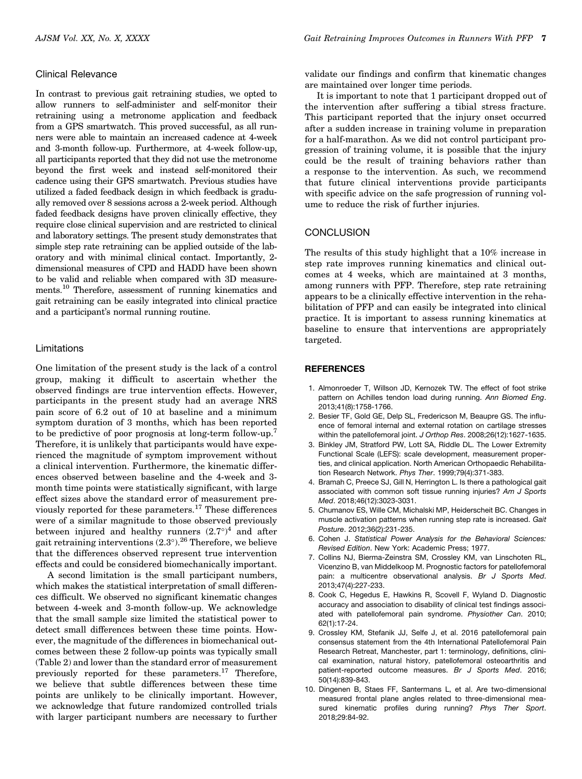# Clinical Relevance

In contrast to previous gait retraining studies, we opted to allow runners to self-administer and self-monitor their retraining using a metronome application and feedback from a GPS smartwatch. This proved successful, as all runners were able to maintain an increased cadence at 4-week and 3-month follow-up. Furthermore, at 4-week follow-up, all participants reported that they did not use the metronome beyond the first week and instead self-monitored their cadence using their GPS smartwatch. Previous studies have utilized a faded feedback design in which feedback is gradually removed over 8 sessions across a 2-week period. Although faded feedback designs have proven clinically effective, they require close clinical supervision and are restricted to clinical and laboratory settings. The present study demonstrates that simple step rate retraining can be applied outside of the laboratory and with minimal clinical contact. Importantly, 2 dimensional measures of CPD and HADD have been shown to be valid and reliable when compared with 3D measurements.10 Therefore, assessment of running kinematics and gait retraining can be easily integrated into clinical practice and a participant's normal running routine.

# Limitations

One limitation of the present study is the lack of a control group, making it difficult to ascertain whether the observed findings are true intervention effects. However, participants in the present study had an average NRS pain score of 6.2 out of 10 at baseline and a minimum symptom duration of 3 months, which has been reported to be predictive of poor prognosis at long-term follow-up.<sup>7</sup> Therefore, it is unlikely that participants would have experienced the magnitude of symptom improvement without a clinical intervention. Furthermore, the kinematic differences observed between baseline and the 4-week and 3 month time points were statistically significant, with large effect sizes above the standard error of measurement previously reported for these parameters.<sup>17</sup> These differences were of a similar magnitude to those observed previously between injured and healthy runners  $(2.7^{\circ})^4$  and after gait retraining interventions  $(2.3^{\circ})$ . <sup>26</sup> Therefore, we believe that the differences observed represent true intervention effects and could be considered biomechanically important.

A second limitation is the small participant numbers, which makes the statistical interpretation of small differences difficult. We observed no significant kinematic changes between 4-week and 3-month follow-up. We acknowledge that the small sample size limited the statistical power to detect small differences between these time points. However, the magnitude of the differences in biomechanical outcomes between these 2 follow-up points was typically small (Table 2) and lower than the standard error of measurement previously reported for these parameters.<sup>17</sup> Therefore, we believe that subtle differences between these time points are unlikely to be clinically important. However, we acknowledge that future randomized controlled trials with larger participant numbers are necessary to further validate our findings and confirm that kinematic changes are maintained over longer time periods.

It is important to note that 1 participant dropped out of the intervention after suffering a tibial stress fracture. This participant reported that the injury onset occurred after a sudden increase in training volume in preparation for a half-marathon. As we did not control participant progression of training volume, it is possible that the injury could be the result of training behaviors rather than a response to the intervention. As such, we recommend that future clinical interventions provide participants with specific advice on the safe progression of running volume to reduce the risk of further injuries.

### **CONCLUSION**

The results of this study highlight that a 10% increase in step rate improves running kinematics and clinical outcomes at 4 weeks, which are maintained at 3 months, among runners with PFP. Therefore, step rate retraining appears to be a clinically effective intervention in the rehabilitation of PFP and can easily be integrated into clinical practice. It is important to assess running kinematics at baseline to ensure that interventions are appropriately targeted.

## **REFERENCES**

- 1. Almonroeder T, Willson JD, Kernozek TW. The effect of foot strike pattern on Achilles tendon load during running. *Ann Biomed Eng*. 2013;41(8):1758-1766.
- 2. Besier TF, Gold GE, Delp SL, Fredericson M, Beaupre GS. The influence of femoral internal and external rotation on cartilage stresses within the patellofemoral joint. *J Orthop Res*. 2008;26(12):1627-1635.
- 3. Binkley JM, Stratford PW, Lott SA, Riddle DL. The Lower Extremity Functional Scale (LEFS): scale development, measurement properties, and clinical application. North American Orthopaedic Rehabilitation Research Network. *Phys Ther*. 1999;79(4):371-383.
- 4. Bramah C, Preece SJ, Gill N, Herrington L. Is there a pathological gait associated with common soft tissue running injuries? *Am J Sports Med*. 2018;46(12):3023-3031.
- 5. Chumanov ES, Wille CM, Michalski MP, Heiderscheit BC. Changes in muscle activation patterns when running step rate is increased. *Gait Posture*. 2012;36(2):231-235.
- 6. Cohen J. *Statistical Power Analysis for the Behavioral Sciences: Revised Edition*. New York: Academic Press; 1977.
- 7. Collins NJ, Bierma-Zeinstra SM, Crossley KM, van Linschoten RL, Vicenzino B, van Middelkoop M. Prognostic factors for patellofemoral pain: a multicentre observational analysis. *Br J Sports Med*. 2013;47(4):227-233.
- 8. Cook C, Hegedus E, Hawkins R, Scovell F, Wyland D. Diagnostic accuracy and association to disability of clinical test findings associated with patellofemoral pain syndrome. *Physiother Can*. 2010; 62(1):17-24.
- 9. Crossley KM, Stefanik JJ, Selfe J, et al. 2016 patellofemoral pain consensus statement from the 4th International Patellofemoral Pain Research Retreat, Manchester, part 1: terminology, definitions, clinical examination, natural history, patellofemoral osteoarthritis and patient-reported outcome measures. *Br J Sports Med*. 2016; 50(14):839-843.
- 10. Dingenen B, Staes FF, Santermans L, et al. Are two-dimensional measured frontal plane angles related to three-dimensional measured kinematic profiles during running? *Phys Ther Sport*. 2018;29:84-92.